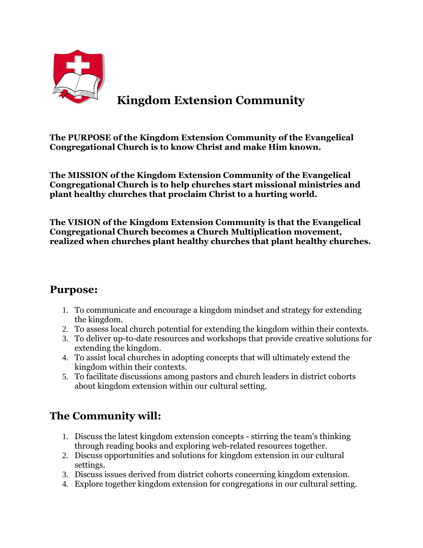

## **Kingdom Extension Community**

**The PURPOSE of the Kingdom Extension Community of the Evangelical Congregational Church is to know Christ and make Him known.**

**The MISSION of the Kingdom Extension Community of the Evangelical Congregational Church is to help churches start missional ministries and plant healthy churches that proclaim Christ to a hurting world.**

**The VISION of the Kingdom Extension Community is that the Evangelical Congregational Church becomes a Church Multiplication movement, realized when churches plant healthy churches that plant healthy churches.**

## **Purpose:**

- 1. To communicate and encourage a kingdom mindset and strategy for extending the kingdom.
- 2. To assess local church potential for extending the kingdom within their contexts.
- 3. To deliver up-to-date resources and workshops that provide creative solutions for extending the kingdom.
- 4. To assist local churches in adopting concepts that will ultimately extend the kingdom within their contexts.
- 5. To facilitate discussions among pastors and church leaders in district cohorts about kingdom extension within our cultural setting.

## **The Community will:**

- 1. Discuss the latest kingdom extension concepts stirring the team's thinking through reading books and exploring web-related resources together.
- 2. Discuss opportunities and solutions for kingdom extension in our cultural settings.
- 3. Discuss issues derived from district cohorts concerning kingdom extension.
- 4. Explore together kingdom extension for congregations in our cultural setting.